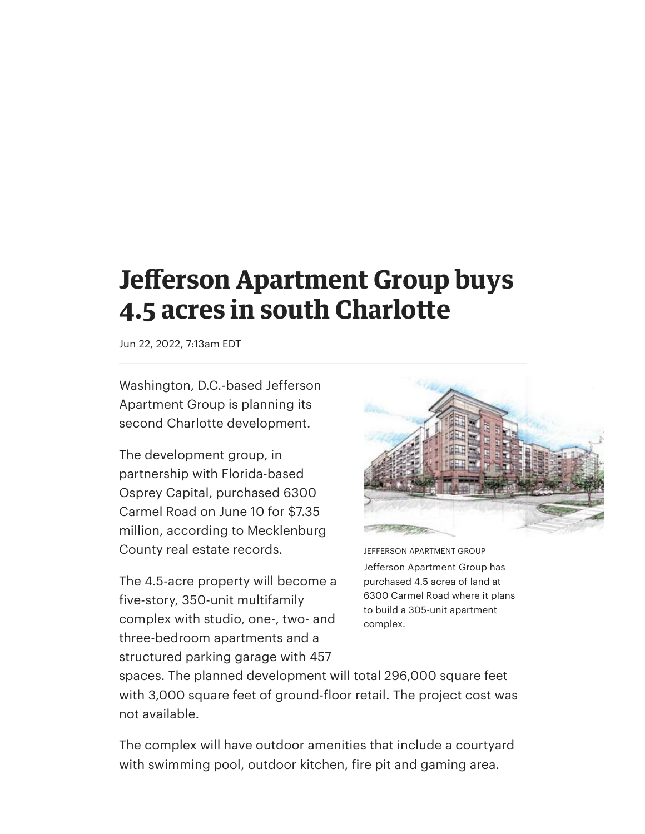## **Jefferson Apartment Group buys 4.5 acres in south Charlotte**

Jun 22, 2022, 7:13am EDT

Washington, D.C.-based Jefferson Apartment Group is planning its second Charlotte development.

The development group, in partnership with Florida-based Osprey Capital, purchased 6300 Carmel Road on June 10 for \$7.35 million, according to Mecklenburg County real estate records.

The 4.5-acre property will become a five-story, 350-unit multifamily complex with studio, one-, two- and three-bedroom apartments and a structured parking garage with 457



JEFFERSON APARTMENT GROUP Jefferson Apartment Group has purchased 4.5 acrea of land at 6300 Carmel Road where it plans to build a 305-unit apartment complex.

spaces. The planned development will total 296,000 square feet with 3,000 square feet of ground-floor retail. The project cost was not available.

The complex will have outdoor amenities that include a courtyard with swimming pool, outdoor kitchen, fire pit and gaming area.